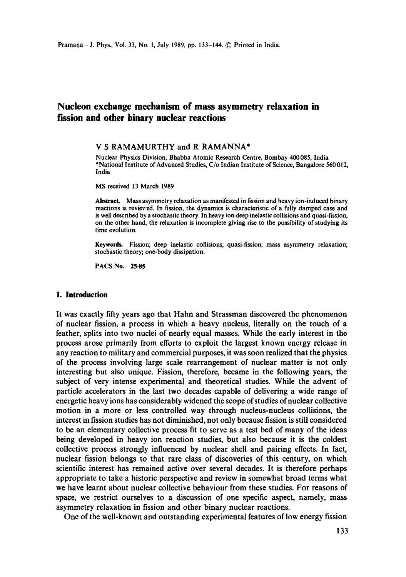# **Nucleon exchange mechanism of mass asymmetry relaxation in fission and other binary nuclear reactions**

## **V S RAMAMURTHY and R RAMANNA\***

Nuclear Physics Division, Bhabha Atomic Research Centre, Bombay 400085, India \*National Institute of Advanced Studies, C/o Indian Institute of Science, Bangalore 560 012, India

MS received 13 March 1989

Abstract. Mass asymmetry relaxation as manifested in fission and heavy ion-induced binary reactions is reviev'ed. In fission, the dynamics is characteristic of a fully damped case and is well described by a stochastic theory. In heavy ion deep inelastic collisions and quasi-fission, on the other hand, the relaxation is incomplete giving rise to the possibility of studying its time evolution.

**Keywords.** Fission; deep inelastic collisions; quasi-fission; mass asymmetry relaxation; stochastic theory; one-body dissipation.

PACS No. 25.85

## **1. Introduction**

It was exactly fifty years ago that Hahn and Strassman discovered the phenomenon of nuclear fission, a process in which a heavy nucleus, literally on the touch of a feather, splits into two nuclei of nearly equal masses. While the early interest in the process arose primarily from efforts to exploit the largest known energy release in any reaction to military and commercial purposes, it was soon realized that the physics of the process involving large scale rearrangement of nuclear matter is not only interesting but also unique. Fission, therefore, became in the following years, the subject of very intense experimental and theoretical studies. While the advent of particle accelerators in the last two decades capable of delivering a wide range of energetic heavy ions has considerably widened the scope of studies of nuclear collective motion in a more or less controlled way through nucleus-nucleus collisions, the interest in fission studies has not diminished, not only because fission is still considered to be an elementary collective process fit to serve as a test bed of many of the ideas being developed in heavy ion reaction studies, but also because it is the coldest collective process strongly influenced by nuclear shell and pairing effects. In fact, nuclear fission belongs to that rare class of discoveries of this century, on which scientific interest has remained active over several decades. It is therefore perhaps appropriate to take a historic perspective and review in somewhat broad terms what we have learnt about nuclear collective behaviour from these studies. For reasons of space, we restrict ourselves to a discussion of one specific aspect, namely, mass asymmetry relaxation in fission and other binary nuclear reactions.

One of the well-known and outstanding experimental features of low energy fission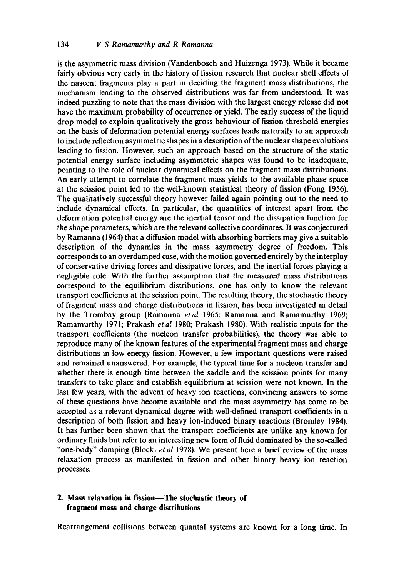is the asymmetric mass division (Vandenbosch and Huizenga 1973). While it became fairly obvious very early in the history of fission research that nuclear shell effects of the nascent fragments play a part in deciding the fragment mass distributions, the mechanism leading to the observed distributions was far from understood. It was indeed puzzling to note that the mass division with the largest energy release did not have the maximum probability of occurrence or yield. The early success of the liquid drop model to explain qualitatively the gross behaviour of fission threshold energies on the basis of deformation potential energy surfaces leads naturally to an approach to include reflection asymmetric shapes in a description of the nuclear shape evolutions leading to fission. However, such an approach based on the structure of the static potential energy surface including asymmetric shapes was found to be inadequate, pointing to the role of nuclear dynamical effects on the fragment mass distributions. An early attempt to correlate the fragment mass yields to the available phase space at the scission point led to the well-known statistical theory of fission (Fong 1956). The qualitatively successful theory however failed again pointing out to the need to include dynamical effects. In particular, the quantities of interest apart from the deformation potential energy are the inertial tensor and the dissipation function for the shape parameters, which are the relevant collective coordinates. It was conjectured by Ramanna (1964) that a diffusion model with absorbing barriers may give a suitable description of the dynamics in the mass asymmetry degree of freedom. This corresponds to an overdamped case, with the motion governed entirely by the interplay of conservative driving forces and dissipative forces, and the inertial forces playing a negligible role. With the further assumption that the measured mass distributions correspond to the equilibrium distributions, one has only to know the relevant transport coefficients at the scission point. The resulting theory, the stochastic theory of fragment mass and charge distributions in fission, has been investigated in detail by the Trombay group (Ramanna *etal* 1965: Ramanna and Ramamurthy 1969; Ramamurthy 1971; Prakash *et a!* 1980; Prakash 1980). With realistic inputs for the transport coefficients (the nucleon transfer probabilities), the theory was able to reproduce many of the known features of the experimental fragment mass and charge distributions in low energy fission. However, a few important questions were raised and remained unanswered. For example, the typical time for a nucleon transfer and whether there is enough time between the saddle and the scission points for many transfers to take place and establish equilibrium at scission were not known. In the last few years, with the advent of heavy ion reactions, convincing answers to some of these questions have become available and the mass asymmetry has come to be accepted as a relevant dynamical degree with well-defined transport coefficients in a description of both fission and heavy ion-induced binary reactions (Bromley 1984). It has further been shown that the transport coefficients are unlike any known for ordinary fluids but refer to an interesting new form of fluid dominated by the so-called "one-body" damping (Blocki *et al* 1978). We present here a brief review of the mass relaxation process as manifested in fission and other binary heavy ion reaction processes.

# **2. Mass relaxation in fission--The stochastic theory of fragment mass and charge distributions**

Rearrangement collisions between quantal systems are known for a long time. In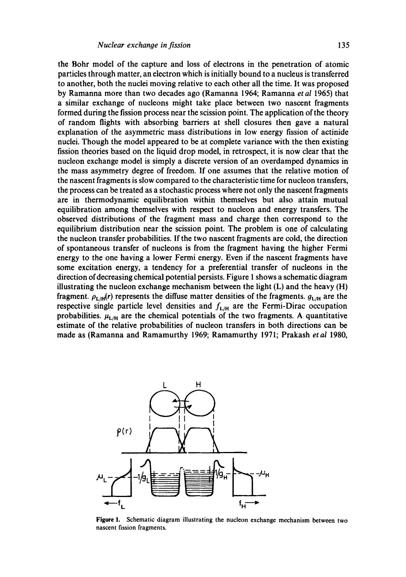the Bohr model of the capture and loss of electrons in the penetration of atomic particles through matter, an electron which is initially bound to a nucleus is transferred to another, both the nuclei moving relative to each other all the time. It was proposed by Ramanna more than two decades ago (Ramanna 1964; Ramanna *et al* 1965) that a similar exchange of nucleons might take place between two nascent fragments formed during the fission process near the scission point. The application of the theory of random flights with absorbing barriers at shell closures then gave a natural explanation of the asymmetric mass distributions in low energy fission of actinide nuclei. Though the model appeared to be at complete variance with the then existing fission theories based on the liquid drop model, in retrospect, it is now clear that the nucleon exchange model is simply a discrete version of an overdamped dynamics in the mass asymmetry degree of freedom. If one assumes that the relative motion of the nascent fragments is slow compared to the characteristic time for nucleon transfers, the process can be treated as a stochastic process where not only the nascent fragments are in thermodynamic equilibration within themselves but also attain mutual equilibration among themselves with respect to nucleon and energy transfers. The observed distributions of the fragment mass and charge then correspond to the equilibrium distribution near the scission point. The problem is one of calculating the nucleon transfer probabilities. If the two nascent fragments are cold, the direction of spontaneous transfer of nucleons is from the fragment having the higher Fermi energy to the one having a lower Fermi energy. Even if the nascent fragments have some excitation energy, a tendency for a preferential transfer of nucleons in the direction of decreasing chemical potential persists. Figure 1 shows a schematic diagram illustrating the nucleon exchange mechanism between the light  $(L)$  and the heavy  $(H)$ fragment.  $\rho_{L/H}(r)$  represents the diffuse matter densities of the fragments.  $g_{L/H}$  are the respective single particle level densities and  $f_{L/H}$  are the Fermi-Dirac occupation probabilities.  $\mu_{L/H}$  are the chemical potentials of the two fragments. A quantitative estimate of the relative probabilities of nucleon transfers in both directions can be made as (Ramanna and Ramamurthy 1969; Ramamurthy 1971; Prakash *et al* 1980,



**Figure** !. Schematic diagram illustrating the nucleon exchange mechanism between two nascent fission fragments.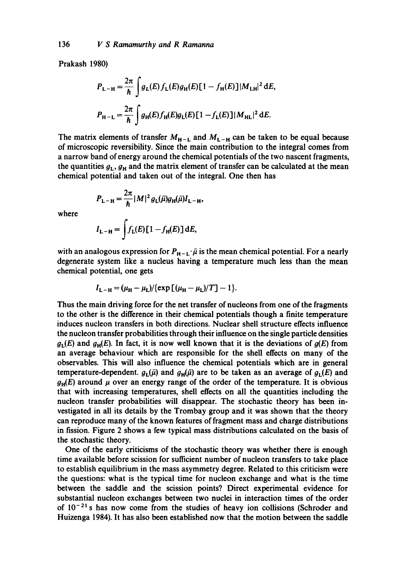Prakash 1980)

$$
P_{L-H} = \frac{2\pi}{\hbar} \int g_L(E) f_L(E) g_H(E) [1 - f_H(E)] |M_{LH}|^2 dE,
$$
  

$$
P_{H-L} = \frac{2\pi}{\hbar} \int g_H(E) f_H(E) g_L(E) [1 - f_L(E)] |M_{HL}|^2 dE.
$$

The matrix elements of transfer  $M_{H-L}$  and  $M_{L-H}$  can be taken to be equal because of microscopic reversibility. Since the main contribution to the integral comes from a narrow band of energy around the chemical potentials of the two nascent fragments, the quantities  $g_L$ ,  $g_H$  and the matrix element of transfer can be calculated at the mean chemical potential and taken out of the integral. One then has

where  $P_{L-H} = \frac{2\pi}{\hbar} |M|^2 g_L(\bar{\mu}) g_H(\bar{\mu}) I_{L-H},$ 

$$
I_{\mathbf{L}-\mathbf{H}} = \int f_{\mathbf{L}}(E) \left[ 1 - f_{\mathbf{H}}(E) \right] dE,
$$

with an analogous expression for  $P_{H-L}$ .  $\bar{\mu}$  is the mean chemical potential. For a nearly degenerate system like a nucleus having a temperature much less than the mean chemical potential, one gets

$$
I_{L-H} = (\mu_{H} - \mu_{L}) / {(\exp [(\mu_{H} - \mu_{L})/T] - 1)}.
$$

Thus the main driving force for the net transfer of nucleons from one of the fragments to the other is the difference in their chemical potentials though a finite temperature induces nucleon transfers in both directions. Nuclear shell structure effects influence the nucleon transfer probabilities through their influence on the single particle densities  $g_L(E)$  and  $g_H(E)$ . In fact, it is now well known that it is the deviations of  $g(E)$  from an average behaviour which are responsible for the shell effects on many of the observables. This will also influence the chemical potentials which are in general temperature-dependent.  $g_L(\bar{\mu})$  and  $g_H(\bar{\mu})$  are to be taken as an average of  $g_L(E)$  and  $g_H(E)$  around  $\mu$  over an energy range of the order of the temperature. It is obvious that with increasing temperatures, shell effects on all the quantities including the nucleon transfer probabilities will disappear. The stochastic theory has been investigated in all its details by the Trombay group and it was shown that the theory can reproduce many of the known features of fragment mass and charge distributions in fission. Figure 2 shows a few typical mass distributions calculated on the basis of the stochastic theory.

One of the early criticisms of the stochastic theory was whether there is enough time available before scission for sufficient number of nucleon transfers to take place to establish equilibrium in the mass asymmetry degree. Related to this criticism were the questions: what is the typical time for nucleon exchange and what is the time between the saddle and the scission points'?. Direct experimental evidence for substantial nucleon exchanges between two nuclei in interaction times of the order of  $10^{-21}$  s has now come from the studies of heavy ion collisions (Schroder and Huizenga 1984). It has also been established now that the motion between the saddle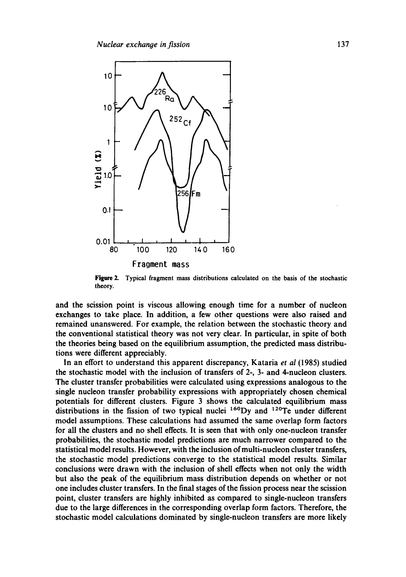

**Figure 2.**  Typical fragment mass distributions calculated on the basis of the stochastic theory.

and the scission point is viscous allowing enough time for a number of nucleon exchanges to take place. In addition, a few other questions were also raised and remained unanswered. For example, the relation between the stochastic theory and the conventional statistical theory was not very clear. In particular, in spite of both the theories being based on the equilibrium assumption, the predicted mass distributions were different appreciably.

In an effort to understand this apparent discrepancy, Kataria *et al* (1985) studied the stochastic model with the inclusion of transfers of 2-, 3- and 4-nucleon clusters. The cluster transfer probabilities were calculated using expressions analogous to the single nucleon transfer probability expressions with appropriately chosen chemical potentials for different clusters. Figure 3 shows the calculated equilibrium mass distributions in the fission of two typical nuclei  $^{160}$ Dy and  $^{120}$ Te under different model assumptions. These calculations had assumed the same overlap form factors for all the clusters and no shell effects. It is seen that with only one-nucleon transfer probabilities, the stochastic model predictions are much narrower compared to the statistical model results. However, with the inclusion of multi-nucleon cluster transfers, the stochastic model predictions converge to the statistical model results. Similar conclusions were drawn with the inclusion of shell effects when not only the width but also the peak of the equilibrium mass distribution depends on whether or not one includes cluster transfers. In the final stages of the fission process near the scission point, cluster transfers are highly inhibited as compared to single-nucleon transfers due to the large differences in the corresponding overlap form factors. Therefore, the stochastic model calculations dominated by single-nucleon transfers are more likely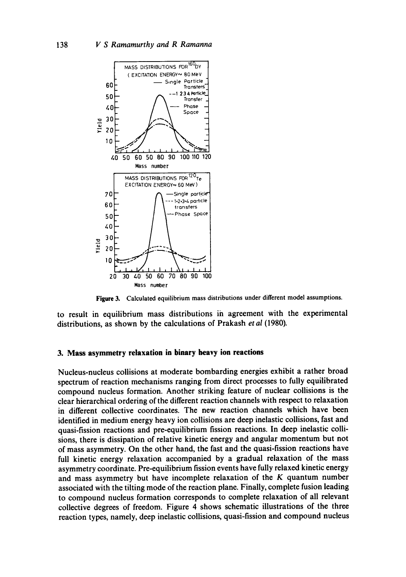

**Figure** 3. Calculated equilibrium mass distributions under different model assumptions.

to result in equilibrium mass distributions in agreement with the experimental distributions, as shown by the calculations of Prakash *et al* (1980).

#### **3. Mass asymmetry relaxation in binary heavy ion reactions**

Nucleus-nucleus collisions at moderate bombarding energies exhibit a rather broad spectrum of reaction mechanisms ranging from direct processes to fully equilibrated compound nucleus formation. Another striking feature of nuclear collisions is the clear hierarchical ordering of the different reaction channels with respect to relaxation in different collective coordinates. The new reaction channels which have been identified in medium energy heavy ion collisions are deep inelastic collisions, fast and quasi-fission reactions and pre-equilibrium fission reactions. In deep inelastic collisions, there is dissipation of relative kinetic energy and angular momentum but not of mass asymmetry. On the other hand, the fast and the quasi-fission reactions have full kinetic energy relaxation accompanied by a gradual relaxation of the mass asymmetry coordinate. Pre-equilibrium fission events have fully relaxed kinetic energy and mass asymmetry but have incomplete relaxation of the  $K$  quantum number associated with the tilting mode of the reaction plane. Finally, complete fusion leading to compound nucleus formation corresponds to complete relaxation of all relevant collective degrees of freedom. Figure 4 shows schematic illustrations of the three reaction types, namely, deep inelastic collisions, quasi-fission and compound nucleus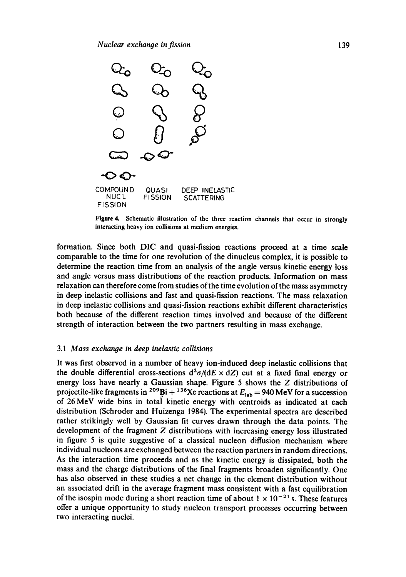

**Figure 4.** Schematic illustration of the three reaction channels that occur in strongly interacting heavy ion collisions at medium energies.

formation. Since both DIC and quasi-fission reactions proceed at a time scale comparable to the time for one revolution of the dinucleus complex, it is possible to determine the reaction time from an analysis of the angle versus kinetic energy loss and angle versus mass distributions of the reaction products. Information on mass relaxation can therefore come from studies of the time evolution of the mass asymmetry in deep inelastic collisions and fast and quasi-fission reactions. The mass relaxation in deep inelastic collisions and quasi-fission reactions exhibit different characteristics both because of the different reaction times involved and because of the different strength of interaction between the two partners resulting in mass exchange.

#### *3.1 Mass exchanoe in deep inelastic collisions*

It was first observed in a number of heavy ion-induced deep inelastic collisions that the double differential cross-sections  $d^2\sigma/(dE \times dZ)$  cut at a fixed final energy or energy loss have nearly a Gaussian shape. Figure 5 shows the Z distributions of projectile-like fragments in <sup>209</sup>Bi + <sup>136</sup>Xe reactions at  $E_{lab} = 940$  MeV for a succession of 26 MeV wide bins in total kinetic energy with centroids as indicated at each distribution (Schroder and Huizenga 1984). The experimental spectra are described rather strikingly well by Gaussian fit curves drawn through the data points. The development of the fragment Z distributions with increasing energy loss illustrated in figure 5 is quite suggestive of a classical nucleon diffusion mechanism where individual nucleons are exchanged between the reaction partners in random directions. As the interaction time proceeds and as the kinetic energy is dissipated, both the mass and the charge distributions of the final fragments broaden significantly. One has also observed in these studies a net change in the element distribution without an associated drift in the average fragment mass consistent with a fast equilibration of the isospin mode during a short reaction time of about  $1 \times 10^{-21}$  s. These features offer a unique opportunity to study nucleon transport processes occurring between two interacting nuclei.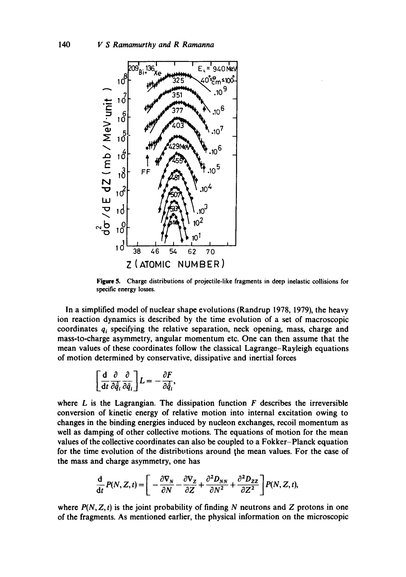

Figure 5. Charge distributions of projectile-like fragments in deep inelastic collisions for specific energy losses.

In a simplified model of nuclear shape evolutions (Randrup 1978, 1979), the heavy ion reaction dynamics is described by the time evolution of a set of macroscopic coordinates  $q_i$  specifying the relative separation, neck opening, mass, charge and mass-to-charge asymmetry, angular momentum etc. One can then assume that the mean values of these coordinates follow the classical Lagrange-Rayleigh equations of motion determined by conservative, dissipative and inertial forces

$$
\left[\frac{\mathrm{d}}{\mathrm{d}t}\frac{\partial}{\partial\dot{\bar{q}}_i}\frac{\partial}{\partial\bar{q}_i}\right]L=-\frac{\partial F}{\partial\dot{\bar{q}}_i},
$$

where  $L$  is the Lagrangian. The dissipation function  $F$  describes the irreversible conversion of kinetic energy of relative motion into internal excitation owing to changes in the binding energies induced by nucleon exchanges, recoil momentum as well as damping of other collective motions. The equations of motion for the mean values of the collective coordinates can also be coupled to a Fokker-Planck equation for the time evolution of the distributions around the mean values. For the case of the mass and charge asymmetry, one has

$$
\frac{\mathrm{d}}{\mathrm{d}t}P(N,Z,t)=\left[-\frac{\partial \nabla_N}{\partial N}-\frac{\partial \nabla_Z}{\partial Z}+\frac{\partial^2 D_{NN}}{\partial N^2}+\frac{\partial^2 D_{ZZ}}{\partial Z^2}\right]P(N,Z,t),
$$

where  $P(N, Z, t)$  is the joint probability of finding N neutrons and Z protons in one of the fragments. As mentioned earlier, the physical information on the microscopic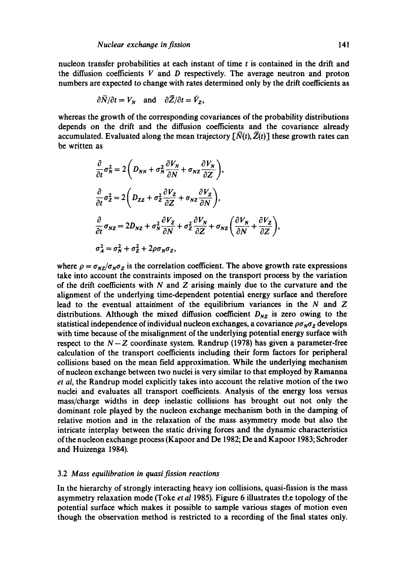nucleon transfer probabilities at each instant of time  $t$  is contained in the drift and the diffusion coefficients  $V$  and  $D$  respectively. The average neutron and proton numbers are expected to change with rates determined only by the drift coefficients as

$$
\partial \overline{N}/\partial t = V_N
$$
 and  $\partial \overline{Z}/\partial t = V_Z$ ,

whereas the growth of the corresponding covariances of the probability distributions depends on the drift and the diffusion coefficients and the covariance already accumulated. Evaluated along the mean trajectory  $[\bar{N}(t), \bar{Z}(t)]$  these growth rates can be written as

$$
\frac{\partial}{\partial t}\sigma_N^2 = 2\left(D_{NN} + \sigma_N^2 \frac{\partial V_N}{\partial N} + \sigma_{NZ} \frac{\partial V_N}{\partial Z}\right),
$$
\n
$$
\frac{\partial}{\partial t}\sigma_Z^2 = 2\left(D_{ZZ} + \sigma_Z^2 \frac{\partial V_Z}{\partial Z} + \sigma_{NZ} \frac{\partial V_Z}{\partial N}\right),
$$
\n
$$
\frac{\partial}{\partial t}\sigma_{NZ} = 2D_{NZ} + \sigma_N^2 \frac{\partial V_Z}{\partial N} + \sigma_Z^2 \frac{\partial V_N}{\partial Z} + \sigma_{NZ} \left(\frac{\partial V_N}{\partial N} + \frac{\partial V_Z}{\partial Z}\right),
$$
\n
$$
\sigma_A^2 = \sigma_N^2 + \sigma_Z^2 + 2\rho \sigma_N \sigma_Z,
$$

where  $\rho = \sigma_{NZ}/\sigma_N \sigma_Z$  is the correlation coefficient. The above growth rate expressions take into account the constraints imposed on the transport process by the variation of the drift coefficients with  $N$  and  $Z$  arising mainly due to the curvature and the alignment of the underlying time-dependent potential energy surface and therefore lead to the eventual attainment of the equilibrium variances in the  $N$  and  $Z$ distributions. Although the mixed diffusion coefficient  $D_{NZ}$  is zero owing to the statistical independence of individual nucleon exchanges, a covariance  $\rho\sigma_N\sigma_Z$  develops with time because of the misalignment of the underlying potential energy surface with respect to the  $N-Z$  coordinate system. Randrup (1978) has given a parameter-free calculation of the transport coefficients including their form factors for peripheral collisions based on the mean field approximation. While the underlying mechanism of nucleon exchange between two nuclei is very similar to that employed by Ramanna *et al,* the Randrup model explicitly takes into account the relative motion of the two nuclei and evaluates all transport coefficients. Analysis of the energy loss versus mass/charge widths in deep inelastic collisions has brought out not only the dominant role played by the nucleon exchange mechanism both in the damping of relative motion and in the relaxation of the mass asymmetry mode but also the intricate interplay between the static driving forces and the dynamic characteristics of the nucleon exchange process (Kapoor and De 1982; De and Kapoor 1983; Schroder and Huizenga 1984).

#### 3.2 *Mass equilibration in quasi fission reactions*

In the hierarchy of strongly interacting heavy ion collisions, quasi-fission is the mass asymmetry relaxation mode (Toke *et al* 1985). Figure 6 illustrates tLe topology of the potential surface which makes it possible to sample various stages of motion even though the observation method is restricted to a recording of the final states only.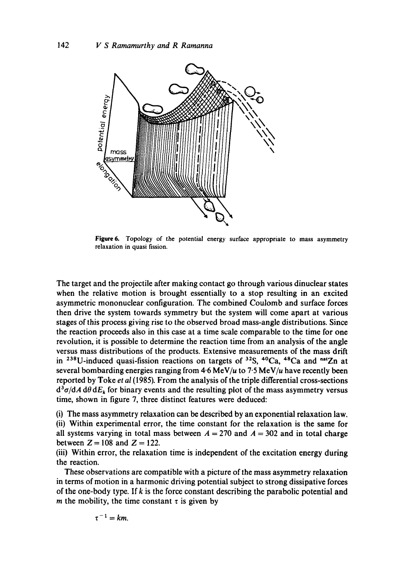

Figure 6. Topology of the potential energy surface appropriate to mass asymmetry relaxation in quasi fission.

The target and the projectile after making contact go through various dinuclear states when the relative motion is brought essentially to a stop resulting in an excited asymmetric mononuclear configuration. The combined Coulomb and surface forces then drive the system towards symmetry but the system will come apart at various stages of this process giving rise to the observed broad mass-angle distributions. Since the reaction proceeds also in this case at a time scale comparable to the time for one revolution, it is possible to determine the reaction time from an analysis of the angle versus mass distributions of the products. Extensive measurements of the mass drift in <sup>238</sup>U-induced quasi-fission reactions on targets of <sup>32</sup>S, <sup>40</sup>Ca, <sup>48</sup>Ca and <sup>nat</sup>Zn at several bombarding energies ranging from  $4.6 \text{ MeV}/u$  to  $7.5 \text{ MeV}/u$  have recently been reported by Toke *et al* (1985). From the analysis of the triple differential cross-sections  $d^3\sigma/dA d\theta dE_k$  for binary events and the resulting plot of the mass asymmetry versus time, shown in figure 7, three distinct features were deduced:

(i) The mass asymmetry relaxation can be described by an exponential relaxation law. (ii) Within experimental error, the time constant for the relaxation is the same for all systems varying in total mass between  $A = 270$  and  $A = 302$  and in total charge between  $Z = 108$  and  $Z = 122$ .

(iii) Within error, the relaxation time is independent of the excitation energy during the reaction.

These observations are compatible with a picture of the mass asymmetry relaxation in terms of motion in a harmonic driving potential subject to strong dissipative forces of the one-body type. If  $k$  is the force constant describing the parabolic potential and m the mobility, the time constant  $\tau$  is given by

$$
\tau^{-1}=km.
$$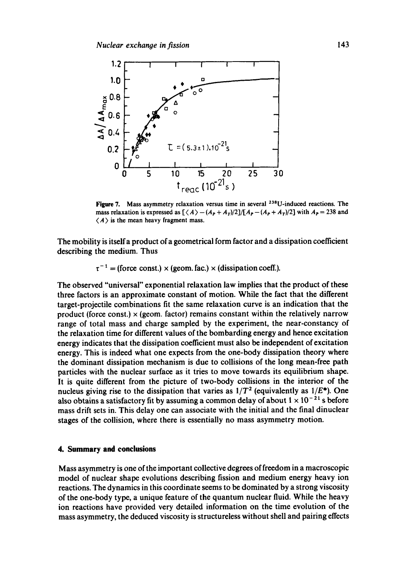

Figure 7. Mass asymmetry relaxation versus time in several <sup>238</sup>U-induced reactions. The mass relaxation is expressed as  $[\langle A \rangle - (A_P + A_T)/2]/[A_P - (A_P + A_T)/2]$  with  $A_P = 238$  and  $\langle A \rangle$  is the mean heavy fragment mass.

The mobility is itselfa product of a geometrical form factor and a dissipation coefficient describing the medium. Thus

 $\tau^{-1}$  = (force const.) x (geom. fac.) x (dissipation coeff.).

The observed "universal" exponential relaxation law implies that the product of these three factors is an approximate constant of motion. While the fact that the different target-projectile combinations fit the same relaxation curve is an indication that the product (force const.)  $\times$  (geom. factor) remains constant within the relatively narrow range of total mass and charge sampled by the experiment, the near-constancy of the relaxation time for different values of the bombarding energy and hence excitation energy indicates that the dissipation coefficient must also be independent of excitation energy. This is indeed what one expects from the one-body dissipation theory where the dominant dissipation mechanism is due to collisions of the long mean-free path particles with the nuclear surface as it tries to move towards its equilibrium shape. It is quite different from the picture of two-body collisions in the interior of the nucleus giving rise to the dissipation that varies as  $1/T^2$  (equivalently as  $1/E^*$ ). One also obtains a satisfactory fit by assuming a common delay of about  $1 \times 10^{-21}$  s before mass drift sets in. This delay one can associate with the initial and the final dinuclear stages of the collision, where there is essentially no mass asymmetry motion.

# **4. Summary and conclusions**

Mass asymmetry is one of the important collective degrees of freedom in a macroscopic model of nuclear shape evolutions describing fission and medium energy heavy ion reactions. The dynamics in this coordinate seems to be dominated by a strong viscosity of the one-body type, a unique feature of the quantum nuclear fluid. While the heavy ion reactions have provided very detailed information on the time evolution of the mass asymmetry, the deduced viscosity is structureless without shell and pairing effects